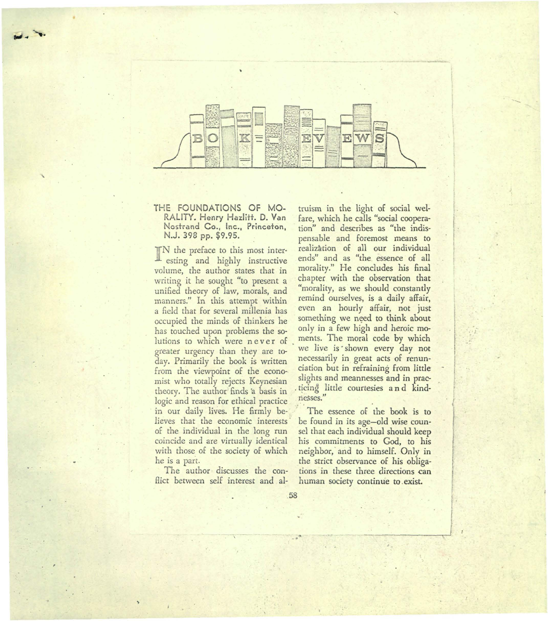

## THE FOUNDATIONS OF MO-RALITY. Henry Hazlitt. D. Van Nostrand Co., Inc., Princeton, N.J. 398 pp. \$9.95.

TN the preface to this most interesting and highly instructive volume, the author states that in writing it he sought "to present a unified theory of law, morals, and manners." In this attempt within a field that for several millenia has occupied the minds of thinkers he has touched upon problems the so· lutions to which were never of greater urgency than they are today. Primarily the book is written from the viewpoint of the econo-· mist who totally rejects Keynesian theory. The author finds a basis in logic and reason for ethical practice in our daily lives. He firmly believes that the economic interests of the individual in the long run coincide and are virtually identical with those of the society of which he is a part.

The author discusses the conflict between self interest and al-

 $\overline{\phantom{a}}$ 

truism in the light of social wel· fare, which he calls "social cooperation" and describes as "the indis· pensable and foremost means to realization of all our individual ends" and as "the. essence of all morality." He concludes his final chapter with the observation that "morality, as we should constantly remind ourselves, is a daily affair, even an hourly affair, not just something we need to think about only in a few high and heroic moments. The moral code by which we live is shown every day not necessarily in great acts of renunciation but in refraining from little slights and meannesses and in prac- . tieing little courtesies and kindnesses."

!.

**I** 

I I

 $:$  .

I

I I

I

~

The essence of the book is to be found in its age-old wise coun· sel that each individual should keep his commitments to God, to his neighbor, and to himself. Only in the strict observance of his obligations in these three directions can human society continue to .exist.

58